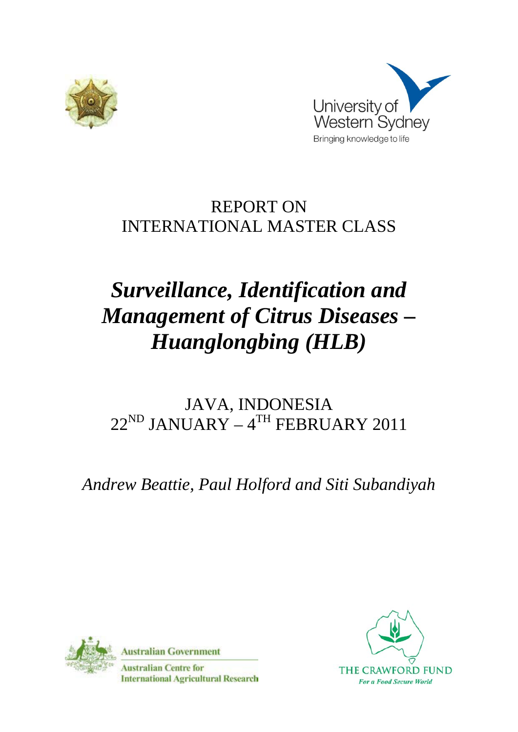



## REPORT ON INTERNATIONAL MASTER CLASS

# *Surveillance, Identification and Management of Citrus Diseases – Huanglongbing (HLB)*

## JAVA, INDONESIA  $22^{\text{ND}}$  JANUARY –  $4^{\text{TH}}$  FEBRUARY 2011

*Andrew Beattie, Paul Holford and Siti Subandiyah*



**Australian Government** 

**Australian Centre for International Agricultural Research** 

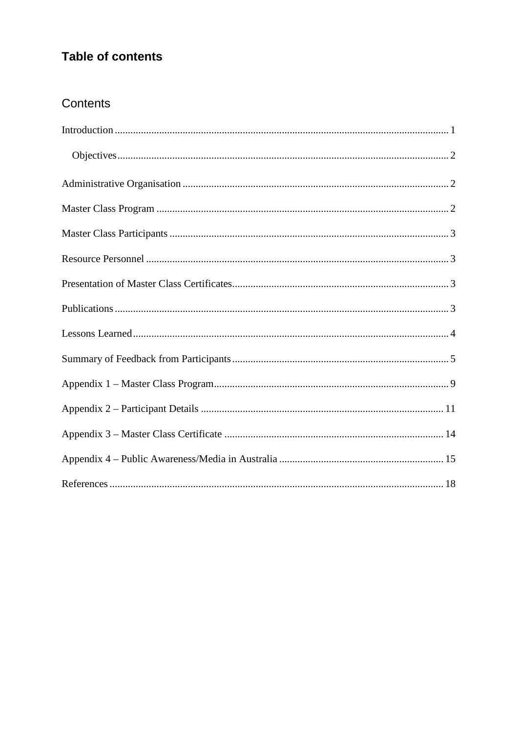## **Table of contents**

## Contents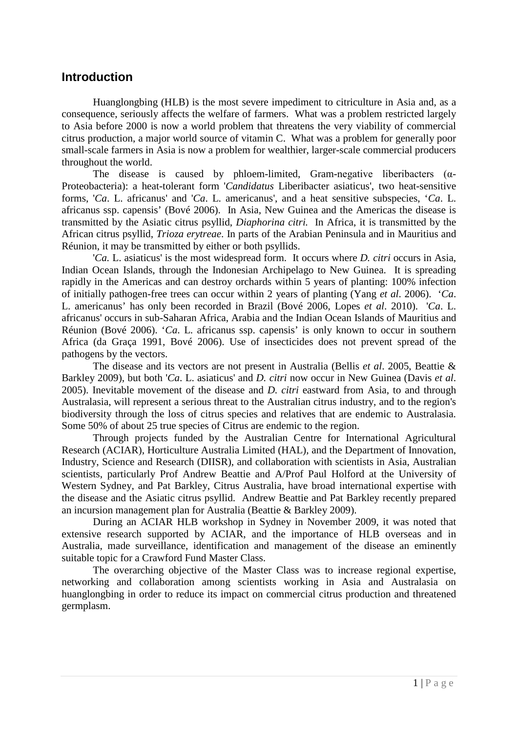### <span id="page-2-0"></span>**Introduction**

Huanglongbing (HLB) is the most severe impediment to citriculture in Asia and, as a consequence, seriously affects the welfare of farmers. What was a problem restricted largely to Asia before 2000 is now a world problem that threatens the very viability of commercial citrus production, a major world source of vitamin C. What was a problem for generally poor small-scale farmers in Asia is now a problem for wealthier, larger-scale commercial producers throughout the world.

The disease is caused by phloem-limited, Gram-negative liberibacters  $(\alpha$ -Proteobacteria): a heat-tolerant form '*Candidatus* Liberibacter asiaticus', two heat-sensitive forms, '*Ca*. L. africanus' and '*Ca*. L. americanus', and a heat sensitive subspecies, '*Ca*. L. africanus ssp. capensis' (Bové 2006). In Asia, New Guinea and the Americas the disease is transmitted by the Asiatic citrus psyllid, *Diaphorina citri.* In Africa, it is transmitted by the African citrus psyllid, *Trioza erytreae*. In parts of the Arabian Peninsula and in Mauritius and Réunion, it may be transmitted by either or both psyllids.

'*Ca.* L. asiaticus' is the most widespread form. It occurs where *D. citri* occurs in Asia, Indian Ocean Islands, through the Indonesian Archipelago to New Guinea. It is spreading rapidly in the Americas and can destroy orchards within 5 years of planting: 100% infection of initially pathogen-free trees can occur within 2 years of planting (Yang *et al*. 2006). '*Ca*. L. americanus' has only been recorded in Brazil (Bové 2006, Lopes *et al*. 2010). '*Ca*. L. africanus' occurs in sub-Saharan Africa, Arabia and the Indian Ocean Islands of Mauritius and Réunion (Bové 2006). '*Ca*. L. africanus ssp. capensis' is only known to occur in southern Africa (da Graça 1991, Bové 2006). Use of insecticides does not prevent spread of the pathogens by the vectors.

The disease and its vectors are not present in Australia (Bellis *et al*. 2005, Beattie & Barkley 2009), but both '*Ca*. L. asiaticus' and *D. citri* now occur in New Guinea (Davis *et al*. 2005). Inevitable movement of the disease and *D. citri* eastward from Asia, to and through Australasia, will represent a serious threat to the Australian citrus industry, and to the region's biodiversity through the loss of citrus species and relatives that are endemic to Australasia. Some 50% of about 25 true species of Citrus are endemic to the region.

Through projects funded by the Australian Centre for International Agricultural Research (ACIAR), Horticulture Australia Limited (HAL), and the Department of Innovation, Industry, Science and Research (DIISR), and collaboration with scientists in Asia, Australian scientists, particularly Prof Andrew Beattie and A/Prof Paul Holford at the University of Western Sydney, and Pat Barkley, Citrus Australia, have broad international expertise with the disease and the Asiatic citrus psyllid. Andrew Beattie and Pat Barkley recently prepared an incursion management plan for Australia (Beattie & Barkley 2009).

During an ACIAR HLB workshop in Sydney in November 2009, it was noted that extensive research supported by ACIAR, and the importance of HLB overseas and in Australia, made surveillance, identification and management of the disease an eminently suitable topic for a Crawford Fund Master Class.

The overarching objective of the Master Class was to increase regional expertise, networking and collaboration among scientists working in Asia and Australasia on huanglongbing in order to reduce its impact on commercial citrus production and threatened germplasm.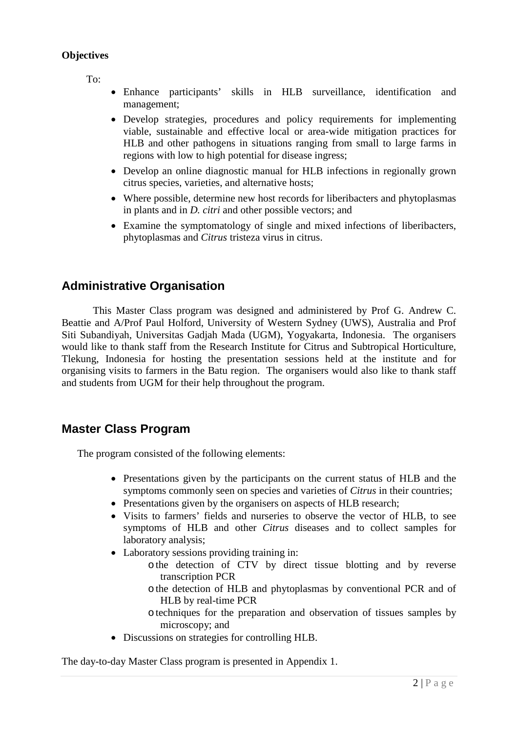#### <span id="page-3-0"></span>**Objectives**

To:

- Enhance participants' skills in HLB surveillance, identification and management;
- Develop strategies, procedures and policy requirements for implementing viable, sustainable and effective local or area-wide mitigation practices for HLB and other pathogens in situations ranging from small to large farms in regions with low to high potential for disease ingress;
- Develop an online diagnostic manual for HLB infections in regionally grown citrus species, varieties, and alternative hosts;
- Where possible, determine new host records for liberibacters and phytoplasmas in plants and in *D. citri* and other possible vectors; and
- Examine the symptomatology of single and mixed infections of liberibacters, phytoplasmas and *Citrus* tristeza virus in citrus.

## <span id="page-3-1"></span>**Administrative Organisation**

This Master Class program was designed and administered by Prof G. Andrew C. Beattie and A/Prof Paul Holford, University of Western Sydney (UWS), Australia and Prof Siti Subandiyah, Universitas Gadjah Mada (UGM), Yogyakarta, Indonesia. The organisers would like to thank staff from the Research Institute for Citrus and Subtropical Horticulture, Tlekung, Indonesia for hosting the presentation sessions held at the institute and for organising visits to farmers in the Batu region. The organisers would also like to thank staff and students from UGM for their help throughout the program.

### <span id="page-3-2"></span>**Master Class Program**

The program consisted of the following elements:

- Presentations given by the participants on the current status of HLB and the symptoms commonly seen on species and varieties of *Citrus* in their countries;
- Presentations given by the organisers on aspects of HLB research;
- Visits to farmers' fields and nurseries to observe the vector of HLB, to see symptoms of HLB and other *Citrus* diseases and to collect samples for laboratory analysis;
- Laboratory sessions providing training in:
	- othe detection of CTV by direct tissue blotting and by reverse transcription PCR
	- othe detection of HLB and phytoplasmas by conventional PCR and of HLB by real-time PCR
	- otechniques for the preparation and observation of tissues samples by microscopy; and
- Discussions on strategies for controlling HLB.

The day-to-day Master Class program is presented in Appendix 1.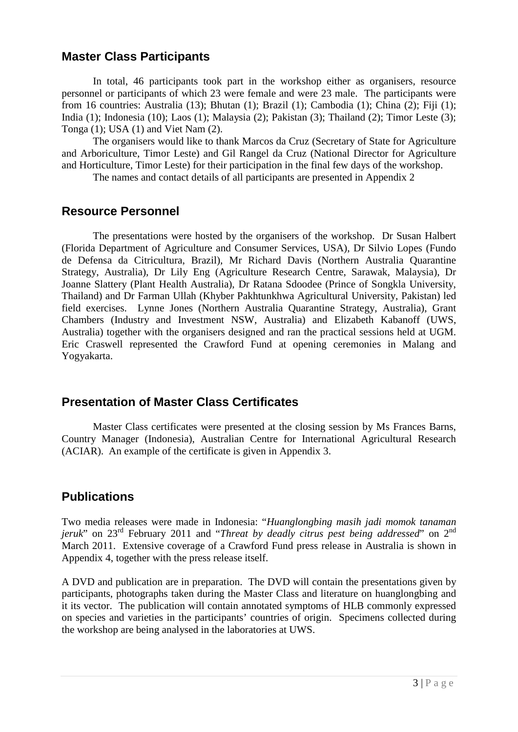## **Master Class Participants**

<span id="page-4-0"></span>In total, 46 participants took part in the workshop either as organisers, resource personnel or participants of which 23 were female and were 23 male. The participants were from 16 countries: Australia (13); Bhutan (1); Brazil (1); Cambodia (1); China (2); Fiji (1); India (1); Indonesia (10); Laos (1); Malaysia (2); Pakistan (3); Thailand (2); Timor Leste (3); Tonga (1); USA (1) and Viet Nam (2).

The organisers would like to thank Marcos da Cruz (Secretary of State for Agriculture and Arboriculture, Timor Leste) and Gil Rangel da Cruz (National Director for Agriculture and Horticulture, Timor Leste) for their participation in the final few days of the workshop.

The names and contact details of all participants are presented in Appendix 2

## <span id="page-4-1"></span>**Resource Personnel**

The presentations were hosted by the organisers of the workshop. Dr Susan Halbert (Florida Department of Agriculture and Consumer Services, USA), Dr Silvio Lopes (Fundo de Defensa da Citricultura, Brazil), Mr Richard Davis (Northern Australia Quarantine Strategy, Australia), Dr Lily Eng (Agriculture Research Centre, Sarawak, Malaysia), Dr Joanne Slattery (Plant Health Australia), Dr Ratana Sdoodee (Prince of Songkla University, Thailand) and Dr Farman Ullah (Khyber Pakhtunkhwa Agricultural University, Pakistan) led field exercises. Lynne Jones (Northern Australia Quarantine Strategy, Australia), Grant Chambers (Industry and Investment NSW, Australia) and Elizabeth Kabanoff (UWS, Australia) together with the organisers designed and ran the practical sessions held at UGM. Eric Craswell represented the Crawford Fund at opening ceremonies in Malang and Yogyakarta.

## <span id="page-4-2"></span>**Presentation of Master Class Certificates**

Master Class certificates were presented at the closing session by Ms Frances Barns, Country Manager (Indonesia), Australian Centre for International Agricultural Research (ACIAR). An example of the certificate is given in Appendix 3.

## <span id="page-4-3"></span>**Publications**

Two media releases were made in Indonesia: "*Huanglongbing masih jadi momok tanaman jeruk*" on 23<sup>rd</sup> February 2011 and "*Threat by deadly citrus pest being addressed*" on 2<sup>nd</sup> March 2011. Extensive coverage of a Crawford Fund press release in Australia is shown in Appendix 4, together with the press release itself.

A DVD and publication are in preparation. The DVD will contain the presentations given by participants, photographs taken during the Master Class and literature on huanglongbing and it its vector. The publication will contain annotated symptoms of HLB commonly expressed on species and varieties in the participants' countries of origin. Specimens collected during the workshop are being analysed in the laboratories at UWS.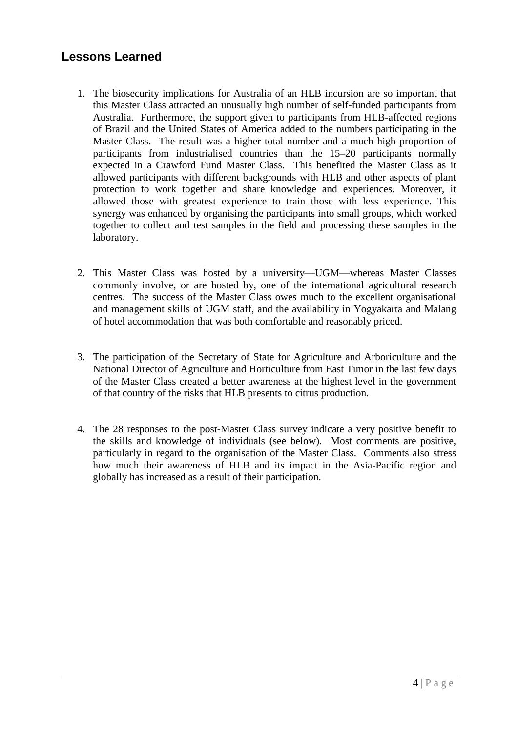## <span id="page-5-0"></span>**Lessons Learned**

- 1. The biosecurity implications for Australia of an HLB incursion are so important that this Master Class attracted an unusually high number of self-funded participants from Australia. Furthermore, the support given to participants from HLB-affected regions of Brazil and the United States of America added to the numbers participating in the Master Class. The result was a higher total number and a much high proportion of participants from industrialised countries than the 15–20 participants normally expected in a Crawford Fund Master Class. This benefited the Master Class as it allowed participants with different backgrounds with HLB and other aspects of plant protection to work together and share knowledge and experiences. Moreover, it allowed those with greatest experience to train those with less experience. This synergy was enhanced by organising the participants into small groups, which worked together to collect and test samples in the field and processing these samples in the laboratory.
- 2. This Master Class was hosted by a university—UGM—whereas Master Classes commonly involve, or are hosted by, one of the international agricultural research centres. The success of the Master Class owes much to the excellent organisational and management skills of UGM staff, and the availability in Yogyakarta and Malang of hotel accommodation that was both comfortable and reasonably priced.
- 3. The participation of the Secretary of State for Agriculture and Arboriculture and the National Director of Agriculture and Horticulture from East Timor in the last few days of the Master Class created a better awareness at the highest level in the government of that country of the risks that HLB presents to citrus production.
- 4. The 28 responses to the post-Master Class survey indicate a very positive benefit to the skills and knowledge of individuals (see below). Most comments are positive, particularly in regard to the organisation of the Master Class. Comments also stress how much their awareness of HLB and its impact in the Asia-Pacific region and globally has increased as a result of their participation.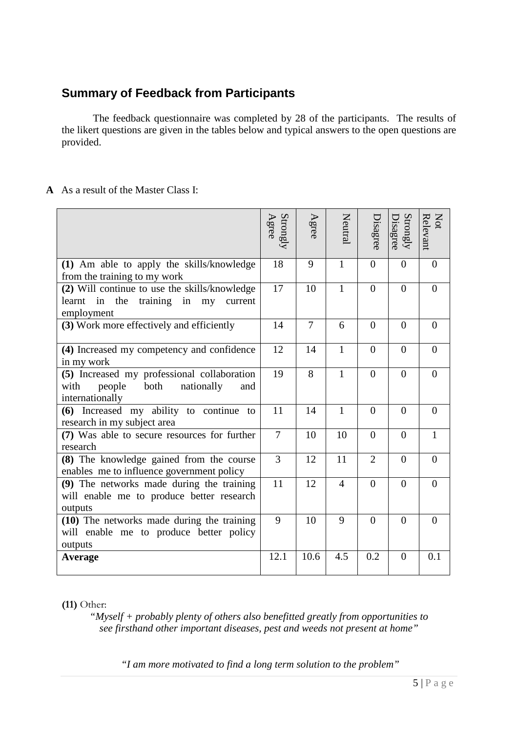## <span id="page-6-0"></span>**Summary of Feedback from Participants**

The feedback questionnaire was completed by 28 of the participants. The results of the likert questions are given in the tables below and typical answers to the open questions are provided.

#### **A** As a result of the Master Class I:

|                                                                                                                 | Strongly<br>Agree | Agree          | Neutral      | Disagree       | Strongly<br>Disagree | Not<br>Relevant |
|-----------------------------------------------------------------------------------------------------------------|-------------------|----------------|--------------|----------------|----------------------|-----------------|
| (1) Am able to apply the skills/knowledge<br>from the training to my work                                       | 18                | 9              | $\mathbf{1}$ | $\overline{0}$ | $\theta$             | $\overline{0}$  |
| (2) Will continue to use the skills/knowledge<br>learnt in<br>the<br>training in<br>my<br>current<br>employment | 17                | 10             | 1            | $\theta$       | $\Omega$             | $\Omega$        |
| (3) Work more effectively and efficiently                                                                       | 14                | $\overline{7}$ | 6            | $\overline{0}$ | $\overline{0}$       | $\overline{0}$  |
| (4) Increased my competency and confidence<br>in my work                                                        | 12                | 14             | 1            | $\theta$       | $\Omega$             | $\Omega$        |
| (5) Increased my professional collaboration<br>both<br>people<br>nationally<br>with<br>and<br>internationally   | 19                | 8              | $\mathbf{1}$ | $\theta$       | $\theta$             | $\theta$        |
| (6) Increased my ability to continue to<br>research in my subject area                                          | 11                | 14             | $\mathbf{1}$ | $\overline{0}$ | $\overline{0}$       | $\overline{0}$  |
| (7) Was able to secure resources for further<br>research                                                        | $\overline{7}$    | 10             | 10           | $\Omega$       | $\Omega$             | $\mathbf{1}$    |
| (8) The knowledge gained from the course<br>enables me to influence government policy                           | 3                 | 12             | 11           | $\overline{2}$ | $\overline{0}$       | $\overline{0}$  |
| (9) The networks made during the training<br>will enable me to produce better research<br>outputs               | 11                | 12             | 4            | $\overline{0}$ | $\overline{0}$       | $\overline{0}$  |
| (10) The networks made during the training<br>will enable me to produce better policy<br>outputs                | 9                 | 10             | 9            | $\theta$       | $\Omega$             | $\Omega$        |
| Average                                                                                                         | 12.1              | 10.6           | 4.5          | 0.2            | $\Omega$             | 0.1             |

**(11)** Other:

*"Myself + probably plenty of others also benefitted greatly from opportunities to see firsthand other important diseases, pest and weeds not present at home"*

*"I am more motivated to find a long term solution to the problem"*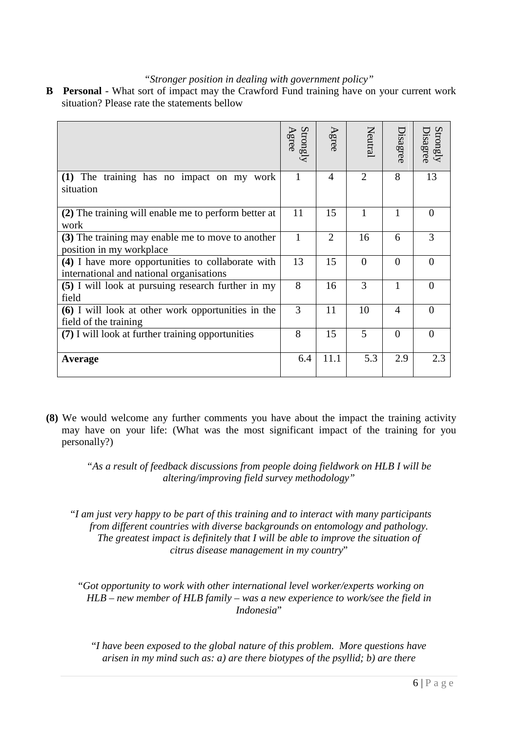#### *"Stronger position in dealing with government policy"*

**B Personal** - What sort of impact may the Crawford Fund training have on your current work situation? Please rate the statements bellow

|                                                                                               | Strongly<br>Agree | Agree          | Neutral                     | Disagree       | Strongly<br><b>Disagree</b> |
|-----------------------------------------------------------------------------------------------|-------------------|----------------|-----------------------------|----------------|-----------------------------|
| (1) The training has no impact on my work<br>situation                                        | 1                 | $\overline{4}$ | $\mathcal{D}_{\mathcal{L}}$ | 8              | 13                          |
| (2) The training will enable me to perform better at<br>work                                  | 11                | 15             |                             | 1              | $\Omega$                    |
| (3) The training may enable me to move to another<br>position in my workplace                 | $\mathbf{1}$      | $\overline{2}$ | 16                          | 6              | 3                           |
| (4) I have more opportunities to collaborate with<br>international and national organisations | 13                | 15             | $\theta$                    | $\Omega$       |                             |
| (5) I will look at pursuing research further in my<br>field                                   | 8                 | 16             | 3                           | 1              | $\Omega$                    |
| (6) I will look at other work opportunities in the<br>field of the training                   | 3                 | 11             | 10                          | $\overline{A}$ |                             |
| (7) I will look at further training opportunities                                             | 8                 | 15             | 5                           | $\theta$       | $\Omega$                    |
| Average                                                                                       | 6.4               | 11.1           | 5.3                         | 2.9            | 2.3                         |

**(8)** We would welcome any further comments you have about the impact the training activity may have on your life: (What was the most significant impact of the training for you personally?)

*"As a result of feedback discussions from people doing fieldwork on HLB I will be altering/improving field survey methodology"*

"*I am just very happy to be part of this training and to interact with many participants from different countries with diverse backgrounds on entomology and pathology. The greatest impact is definitely that I will be able to improve the situation of citrus disease management in my country*"

"*Got opportunity to work with other international level worker/experts working on HLB – new member of HLB family – was a new experience to work/see the field in Indonesia*"

"*I have been exposed to the global nature of this problem. More questions have arisen in my mind such as: a) are there biotypes of the psyllid; b) are there*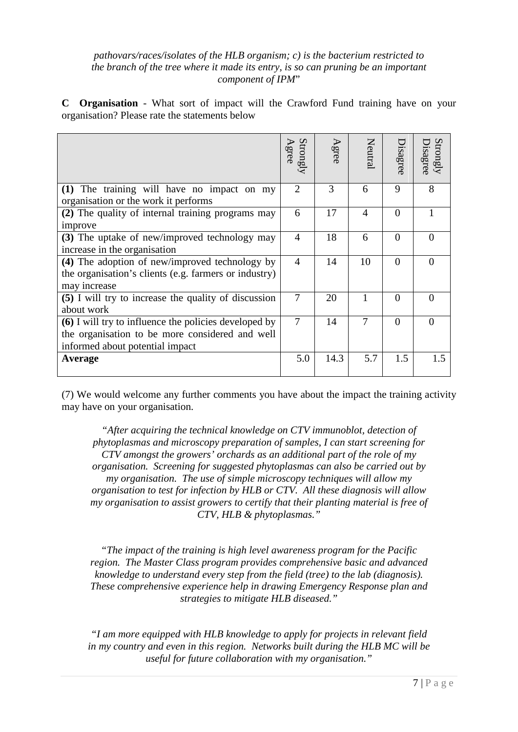#### *pathovars/races/isolates of the HLB organism; c) is the bacterium restricted to the branch of the tree where it made its entry, is so can pruning be an important component of IPM*"

**C Organisation** - What sort of impact will the Crawford Fund training have on your organisation? Please rate the statements below

|                                                       | $\frac{\text{Strongly}}{\text{Agre}}$ | Agree | Neutral        | bisagree | Strongly<br>isagree |
|-------------------------------------------------------|---------------------------------------|-------|----------------|----------|---------------------|
| (1) The training will have no impact on my            | $\overline{2}$                        | 3     | 6              | 9        | 8                   |
| organisation or the work it performs                  |                                       |       |                |          |                     |
| (2) The quality of internal training programs may     | 6                                     | 17    | $\overline{A}$ | $\theta$ |                     |
| improve                                               |                                       |       |                |          |                     |
| (3) The uptake of new/improved technology may         | $\overline{4}$                        | 18    | 6              | $\Omega$ | $\Omega$            |
| increase in the organisation                          |                                       |       |                |          |                     |
| (4) The adoption of new/improved technology by        | $\overline{4}$                        | 14    | 10             | $\theta$ | $\Omega$            |
| the organisation's clients (e.g. farmers or industry) |                                       |       |                |          |                     |
| may increase                                          |                                       |       |                |          |                     |
| (5) I will try to increase the quality of discussion  | 7                                     | 20    |                | $\Omega$ |                     |
| about work                                            |                                       |       |                |          |                     |
| (6) I will try to influence the policies developed by | $\overline{7}$                        | 14    | 7              | $\Omega$ | $\Omega$            |
| the organisation to be more considered and well       |                                       |       |                |          |                     |
| informed about potential impact                       |                                       |       |                |          |                     |
| Average                                               | 5.0                                   | 14.3  | 5.7            | 1.5      | 1.5                 |

(7) We would welcome any further comments you have about the impact the training activity may have on your organisation.

*"After acquiring the technical knowledge on CTV immunoblot, detection of phytoplasmas and microscopy preparation of samples, I can start screening for CTV amongst the growers' orchards as an additional part of the role of my organisation. Screening for suggested phytoplasmas can also be carried out by my organisation. The use of simple microscopy techniques will allow my organisation to test for infection by HLB or CTV. All these diagnosis will allow my organisation to assist growers to certify that their planting material is free of CTV, HLB & phytoplasmas."*

*"The impact of the training is high level awareness program for the Pacific region. The Master Class program provides comprehensive basic and advanced knowledge to understand every step from the field (tree) to the lab (diagnosis). These comprehensive experience help in drawing Emergency Response plan and strategies to mitigate HLB diseased."*

*"I am more equipped with HLB knowledge to apply for projects in relevant field in my country and even in this region. Networks built during the HLB MC will be useful for future collaboration with my organisation."*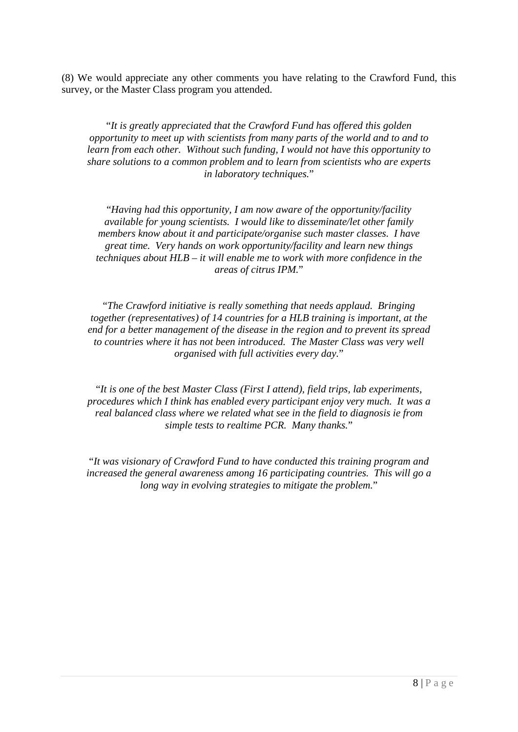(8) We would appreciate any other comments you have relating to the Crawford Fund, this survey, or the Master Class program you attended.

"*It is greatly appreciated that the Crawford Fund has offered this golden opportunity to meet up with scientists from many parts of the world and to and to learn from each other. Without such funding, I would not have this opportunity to share solutions to a common problem and to learn from scientists who are experts in laboratory techniques.*"

"*Having had this opportunity, I am now aware of the opportunity/facility available for young scientists. I would like to disseminate/let other family members know about it and participate/organise such master classes. I have great time. Very hands on work opportunity/facility and learn new things techniques about HLB – it will enable me to work with more confidence in the areas of citrus IPM.*"

"*The Crawford initiative is really something that needs applaud. Bringing together (representatives) of 14 countries for a HLB training is important, at the end for a better management of the disease in the region and to prevent its spread to countries where it has not been introduced. The Master Class was very well organised with full activities every day.*"

"*It is one of the best Master Class (First I attend), field trips, lab experiments, procedures which I think has enabled every participant enjoy very much. It was a real balanced class where we related what see in the field to diagnosis ie from simple tests to realtime PCR. Many thanks.*"

"*It was visionary of Crawford Fund to have conducted this training program and increased the general awareness among 16 participating countries. This will go a long way in evolving strategies to mitigate the problem.*"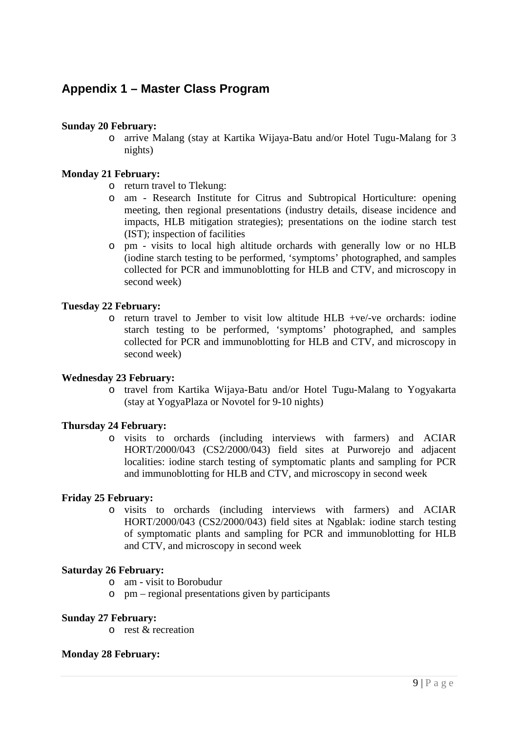## <span id="page-10-0"></span>**Appendix 1 – Master Class Program**

#### **Sunday 20 February:**

o arrive Malang (stay at Kartika Wijaya-Batu and/or Hotel Tugu-Malang for 3 nights)

#### **Monday 21 February:**

- o return travel to Tlekung:
- o am Research Institute for Citrus and Subtropical Horticulture: opening meeting, then regional presentations (industry details, disease incidence and impacts, HLB mitigation strategies); presentations on the iodine starch test (IST); inspection of facilities
- o pm visits to local high altitude orchards with generally low or no HLB (iodine starch testing to be performed, 'symptoms' photographed, and samples collected for PCR and immunoblotting for HLB and CTV, and microscopy in second week)

#### **Tuesday 22 February:**

o return travel to Jember to visit low altitude HLB +ve/-ve orchards: iodine starch testing to be performed, 'symptoms' photographed, and samples collected for PCR and immunoblotting for HLB and CTV, and microscopy in second week)

#### **Wednesday 23 February:**

o travel from Kartika Wijaya-Batu and/or Hotel Tugu-Malang to Yogyakarta (stay at YogyaPlaza or Novotel for 9-10 nights)

#### **Thursday 24 February:**

o visits to orchards (including interviews with farmers) and ACIAR HORT/2000/043 (CS2/2000/043) field sites at Purworejo and adjacent localities: iodine starch testing of symptomatic plants and sampling for PCR and immunoblotting for HLB and CTV, and microscopy in second week

#### **Friday 25 February:**

o visits to orchards (including interviews with farmers) and ACIAR HORT/2000/043 (CS2/2000/043) field sites at Ngablak: iodine starch testing of symptomatic plants and sampling for PCR and immunoblotting for HLB and CTV, and microscopy in second week

#### **Saturday 26 February:**

- o am visit to Borobudur
- o pm regional presentations given by participants

#### **Sunday 27 February:**

o rest & recreation

#### **Monday 28 February:**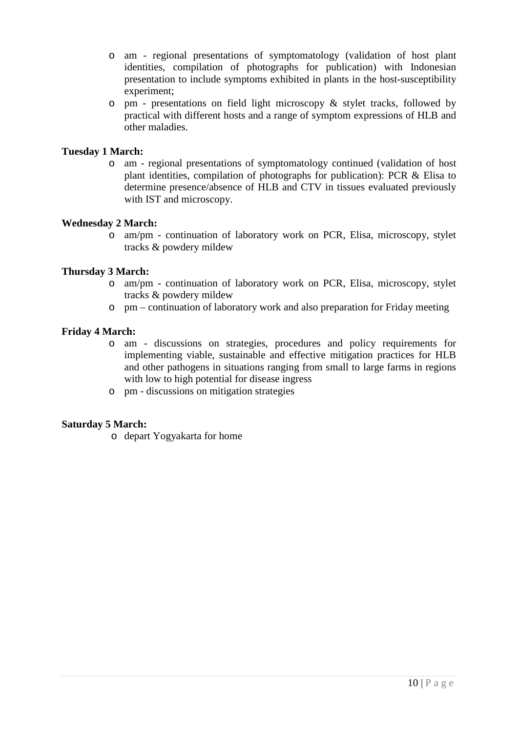- o am regional presentations of symptomatology (validation of host plant identities, compilation of photographs for publication) with Indonesian presentation to include symptoms exhibited in plants in the host-susceptibility experiment;
- o pm presentations on field light microscopy & stylet tracks, followed by practical with different hosts and a range of symptom expressions of HLB and other maladies.

#### **Tuesday 1 March:**

o am - regional presentations of symptomatology continued (validation of host plant identities, compilation of photographs for publication): PCR & Elisa to determine presence/absence of HLB and CTV in tissues evaluated previously with IST and microscopy.

#### **Wednesday 2 March:**

o am/pm - continuation of laboratory work on PCR, Elisa, microscopy, stylet tracks & powdery mildew

#### **Thursday 3 March:**

- o am/pm continuation of laboratory work on PCR, Elisa, microscopy, stylet tracks & powdery mildew
- o pm continuation of laboratory work and also preparation for Friday meeting

#### **Friday 4 March:**

- o am discussions on strategies, procedures and policy requirements for implementing viable, sustainable and effective mitigation practices for HLB and other pathogens in situations ranging from small to large farms in regions with low to high potential for disease ingress
- o pm discussions on mitigation strategies

#### **Saturday 5 March:**

o depart Yogyakarta for home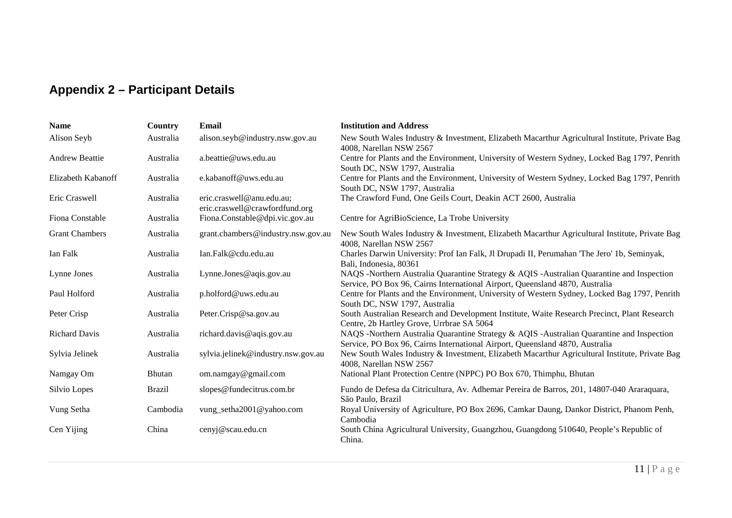## **Appendix 2 – Participant Details**

<span id="page-12-0"></span>

| <b>Name</b>           | Country       | Email                                                       | <b>Institution and Address</b>                                                                                                                                            |
|-----------------------|---------------|-------------------------------------------------------------|---------------------------------------------------------------------------------------------------------------------------------------------------------------------------|
| Alison Seyb           | Australia     | alison.seyb@industry.nsw.gov.au                             | New South Wales Industry & Investment, Elizabeth Macarthur Agricultural Institute, Private Bag<br>4008, Narellan NSW 2567                                                 |
| <b>Andrew Beattie</b> | Australia     | a.beattie@uws.edu.au                                        | Centre for Plants and the Environment, University of Western Sydney, Locked Bag 1797, Penrith<br>South DC, NSW 1797, Australia                                            |
| Elizabeth Kabanoff    | Australia     | e.kabanoff@uws.edu.au                                       | Centre for Plants and the Environment, University of Western Sydney, Locked Bag 1797, Penrith<br>South DC, NSW 1797, Australia                                            |
| Eric Craswell         | Australia     | eric.craswell@anu.edu.au;<br>eric.craswell@crawfordfund.org | The Crawford Fund, One Geils Court, Deakin ACT 2600, Australia                                                                                                            |
| Fiona Constable       | Australia     | Fiona.Constable@dpi.vic.gov.au                              | Centre for AgriBioScience, La Trobe University                                                                                                                            |
| <b>Grant Chambers</b> | Australia     | grant.chambers@industry.nsw.gov.au                          | New South Wales Industry & Investment, Elizabeth Macarthur Agricultural Institute, Private Bag<br>4008, Narellan NSW 2567                                                 |
| Ian Falk              | Australia     | Ian.Falk@cdu.edu.au                                         | Charles Darwin University: Prof Ian Falk, Jl Drupadi II, Perumahan 'The Jero' 1b, Seminyak,<br>Bali, Indonesia, 80361                                                     |
| Lynne Jones           | Australia     | Lynne.Jones@aqis.gov.au                                     | NAQS -Northern Australia Quarantine Strategy & AQIS -Australian Quarantine and Inspection<br>Service, PO Box 96, Cairns International Airport, Queensland 4870, Australia |
| Paul Holford          | Australia     | p.holford@uws.edu.au                                        | Centre for Plants and the Environment, University of Western Sydney, Locked Bag 1797, Penrith<br>South DC, NSW 1797, Australia                                            |
| Peter Crisp           | Australia     | Peter.Crisp@sa.gov.au                                       | South Australian Research and Development Institute, Waite Research Precinct, Plant Research<br>Centre, 2b Hartley Grove, Urrbrae SA 5064                                 |
| <b>Richard Davis</b>  | Australia     | richard.davis@aqis.gov.au                                   | NAQS -Northern Australia Quarantine Strategy & AQIS -Australian Quarantine and Inspection<br>Service, PO Box 96, Cairns International Airport, Queensland 4870, Australia |
| Sylvia Jelinek        | Australia     | sylvia.jelinek@industry.nsw.gov.au                          | New South Wales Industry & Investment, Elizabeth Macarthur Agricultural Institute, Private Bag<br>4008, Narellan NSW 2567                                                 |
| Namgay Om             | Bhutan        | om.namgay@gmail.com                                         | National Plant Protection Centre (NPPC) PO Box 670, Thimphu, Bhutan                                                                                                       |
| Silvio Lopes          | <b>Brazil</b> | slopes@fundecitrus.com.br                                   | Fundo de Defesa da Citricultura, Av. Adhemar Pereira de Barros, 201, 14807-040 Araraquara,<br>São Paulo, Brazil                                                           |
| Vung Setha            | Cambodia      | vung_setha2001@yahoo.com                                    | Royal University of Agriculture, PO Box 2696, Camkar Daung, Dankor District, Phanom Penh,<br>Cambodia                                                                     |
| Cen Yijing            | China         | cenyj@scau.edu.cn                                           | South China Agricultural University, Guangzhou, Guangdong 510640, People's Republic of<br>China.                                                                          |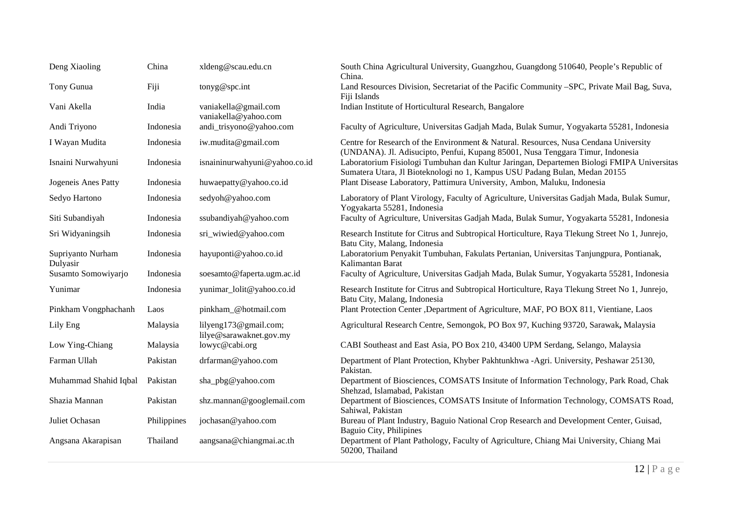| Deng Xiaoling                 | China       | xldeng@scau.edu.cn                               | South China Agricultural University, Guangzhou, Guangdong 510640, People's Republic of<br>China.                                                                        |
|-------------------------------|-------------|--------------------------------------------------|-------------------------------------------------------------------------------------------------------------------------------------------------------------------------|
| Tony Gunua                    | Fiji        | tonyg@spc.int                                    | Land Resources Division, Secretariat of the Pacific Community -SPC, Private Mail Bag, Suva,<br>Fiji Islands                                                             |
| Vani Akella                   | India       | vaniakella@gmail.com<br>vaniakella@yahoo.com     | Indian Institute of Horticultural Research, Bangalore                                                                                                                   |
| Andi Triyono                  | Indonesia   | andi_trisyono@yahoo.com                          | Faculty of Agriculture, Universitas Gadjah Mada, Bulak Sumur, Yogyakarta 55281, Indonesia                                                                               |
| I Wayan Mudita                | Indonesia   | iw.mudita@gmail.com                              | Centre for Research of the Environment & Natural. Resources, Nusa Cendana University<br>(UNDANA). Jl. Adisucipto, Penfui, Kupang 85001, Nusa Tenggara Timur, Indonesia  |
| Isnaini Nurwahyuni            | Indonesia   | isnaininurwahyuni@yahoo.co.id                    | Laboratorium Fisiologi Tumbuhan dan Kultur Jaringan, Departemen Biologi FMIPA Universitas<br>Sumatera Utara, Jl Bioteknologi no 1, Kampus USU Padang Bulan, Medan 20155 |
| Jogeneis Anes Patty           | Indonesia   | huwaepatty@yahoo.co.id                           | Plant Disease Laboratory, Pattimura University, Ambon, Maluku, Indonesia                                                                                                |
| Sedyo Hartono                 | Indonesia   | sedyoh@yahoo.com                                 | Laboratory of Plant Virology, Faculty of Agriculture, Universitas Gadjah Mada, Bulak Sumur,<br>Yogyakarta 55281, Indonesia                                              |
| Siti Subandiyah               | Indonesia   | ssubandiyah@yahoo.com                            | Faculty of Agriculture, Universitas Gadjah Mada, Bulak Sumur, Yogyakarta 55281, Indonesia                                                                               |
| Sri Widyaningsih              | Indonesia   | sri_wiwied@yahoo.com                             | Research Institute for Citrus and Subtropical Horticulture, Raya Tlekung Street No 1, Junrejo,<br>Batu City, Malang, Indonesia                                          |
| Supriyanto Nurham<br>Dulyasir | Indonesia   | hayuponti@yahoo.co.id                            | Laboratorium Penyakit Tumbuhan, Fakulats Pertanian, Universitas Tanjungpura, Pontianak,<br>Kalimantan Barat                                                             |
| Susamto Somowiyarjo           | Indonesia   | soesamto@faperta.ugm.ac.id                       | Faculty of Agriculture, Universitas Gadjah Mada, Bulak Sumur, Yogyakarta 55281, Indonesia                                                                               |
| Yunimar                       | Indonesia   | yunimar_lolit@yahoo.co.id                        | Research Institute for Citrus and Subtropical Horticulture, Raya Tlekung Street No 1, Junrejo,<br>Batu City, Malang, Indonesia                                          |
| Pinkham Vongphachanh          | Laos        | pinkham_@hotmail.com                             | Plant Protection Center , Department of Agriculture, MAF, PO BOX 811, Vientiane, Laos                                                                                   |
| Lily Eng                      | Malaysia    | lilyeng173@gmail.com;<br>lilye@sarawaknet.gov.my | Agricultural Research Centre, Semongok, PO Box 97, Kuching 93720, Sarawak, Malaysia                                                                                     |
| Low Ying-Chiang               | Malaysia    | lowyc@cabi.org                                   | CABI Southeast and East Asia, PO Box 210, 43400 UPM Serdang, Selango, Malaysia                                                                                          |
| Farman Ullah                  | Pakistan    | drfarman@yahoo.com                               | Department of Plant Protection, Khyber Pakhtunkhwa -Agri. University, Peshawar 25130,<br>Pakistan.                                                                      |
| Muhammad Shahid Iqbal         | Pakistan    | sha_pbg@yahoo.com                                | Department of Biosciences, COMSATS Insitute of Information Technology, Park Road, Chak<br>Shehzad, Islamabad, Pakistan                                                  |
| Shazia Mannan                 | Pakistan    | shz.mannan@googlemail.com                        | Department of Biosciences, COMSATS Insitute of Information Technology, COMSATS Road,<br>Sahiwal, Pakistan                                                               |
| Juliet Ochasan                | Philippines | jochasan@yahoo.com                               | Bureau of Plant Industry, Baguio National Crop Research and Development Center, Guisad,<br>Baguio City, Philipines                                                      |
| Angsana Akarapisan            | Thailand    | aangsana@chiangmai.ac.th                         | Department of Plant Pathology, Faculty of Agriculture, Chiang Mai University, Chiang Mai<br>50200, Thailand                                                             |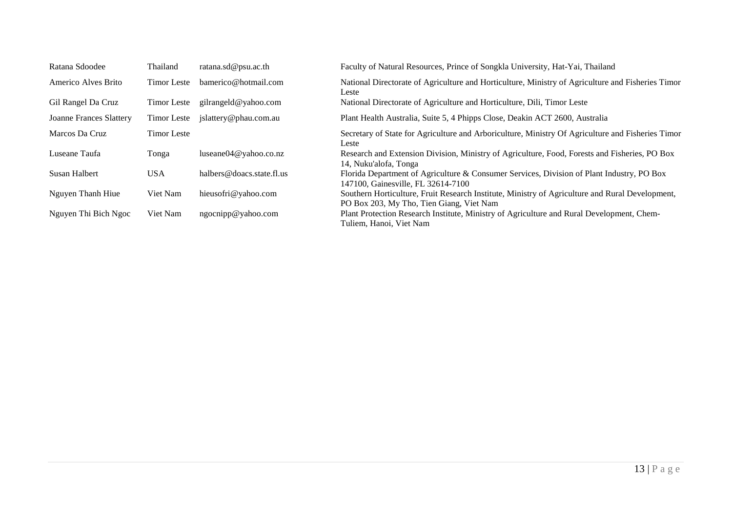| Ratana Sdoodee          | Thailand           | ratana.sd@psu.ac.th       | Faculty of Natural Resources, Prince of Songkla University, Hat-Yai, Thailand                                                               |
|-------------------------|--------------------|---------------------------|---------------------------------------------------------------------------------------------------------------------------------------------|
| Americo Alves Brito     | <b>Timor</b> Leste | bamerico@hotmail.com      | National Directorate of Agriculture and Horticulture, Ministry of Agriculture and Fisheries Timor<br>Leste                                  |
| Gil Rangel Da Cruz      | Timor Leste        | gilrangeld@yahoo.com      | National Directorate of Agriculture and Horticulture, Dili, Timor Leste                                                                     |
| Joanne Frances Slattery | Timor Leste        | jslattery@phau.com.au     | Plant Health Australia, Suite 5, 4 Phipps Close, Deakin ACT 2600, Australia                                                                 |
| Marcos Da Cruz          | <b>Timor Leste</b> |                           | Secretary of State for Agriculture and Arboriculture, Ministry Of Agriculture and Fisheries Timor<br>Leste                                  |
| Luseane Taufa           | Tonga              | luseane $04@$ vahoo.co.nz | Research and Extension Division, Ministry of Agriculture, Food, Forests and Fisheries, PO Box<br>14, Nuku'alofa, Tonga                      |
| <b>Susan Halbert</b>    | <b>USA</b>         | halbers@doacs.state.fl.us | Florida Department of Agriculture & Consumer Services, Division of Plant Industry, PO Box<br>147100, Gainesville, FL 32614-7100             |
| Nguyen Thanh Hiue       | Viet Nam           | hieusofri@yahoo.com       | Southern Horticulture, Fruit Research Institute, Ministry of Agriculture and Rural Development,<br>PO Box 203, My Tho, Tien Giang, Viet Nam |
| Nguyen Thi Bich Ngoc    | Viet Nam           | ngocnipp@yahoo.com        | Plant Protection Research Institute, Ministry of Agriculture and Rural Development, Chem-<br>Tuliem, Hanoi, Viet Nam                        |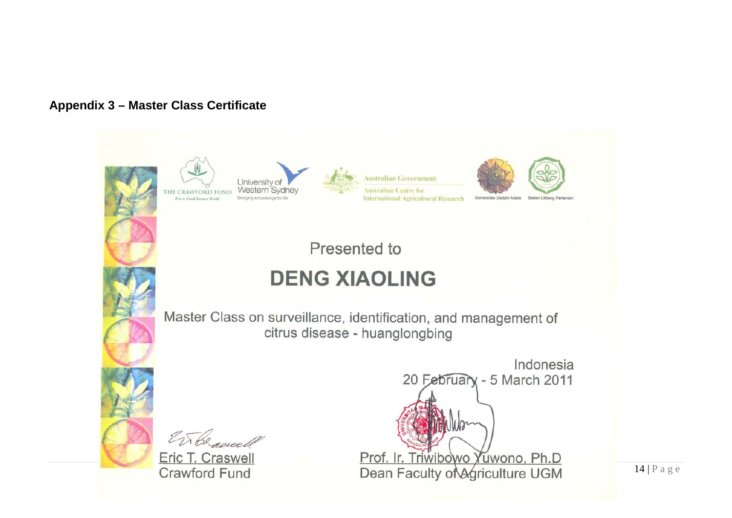## **Appendix 3 – Master Class Certificate**



THE CRAWFORD FUND For a Food Secure World



Australian Government **Australian Centre for** International Agricultural Research



Presented to

# **DENG XIAOLING**

<span id="page-15-0"></span>Master Class on surveillance, identification, and management of citrus disease - huanglongbing

EN Censusell

Eric T. Craswell **Crawford Fund** 

Indonesia 20 February - 5 March 2011 Prof. Ir. Triwibowo Yuwono, Ph.D Dean Faculty of Agriculture UGM

 $14$  | P a g e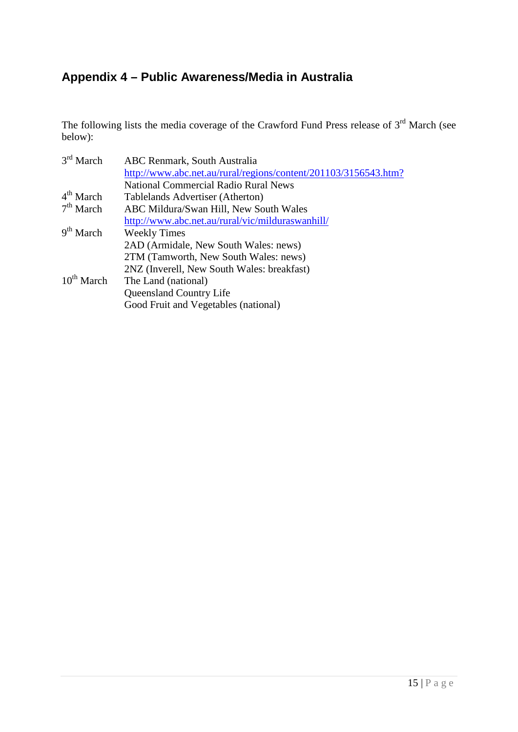## <span id="page-16-0"></span>**Appendix 4 – Public Awareness/Media in Australia**

The following lists the media coverage of the Crawford Fund Press release of  $3<sup>rd</sup>$  March (see below):

| <b>ABC Renmark, South Australia</b>                             |
|-----------------------------------------------------------------|
| http://www.abc.net.au/rural/regions/content/201103/3156543.htm? |
| <b>National Commercial Radio Rural News</b>                     |
| Tablelands Advertiser (Atherton)                                |
| ABC Mildura/Swan Hill, New South Wales                          |
| http://www.abc.net.au/rural/vic/milduraswanhill/                |
| <b>Weekly Times</b>                                             |
| 2AD (Armidale, New South Wales: news)                           |
| 2TM (Tamworth, New South Wales: news)                           |
| 2NZ (Inverell, New South Wales: breakfast)                      |
| The Land (national)                                             |
| Queensland Country Life                                         |
| Good Fruit and Vegetables (national)                            |
|                                                                 |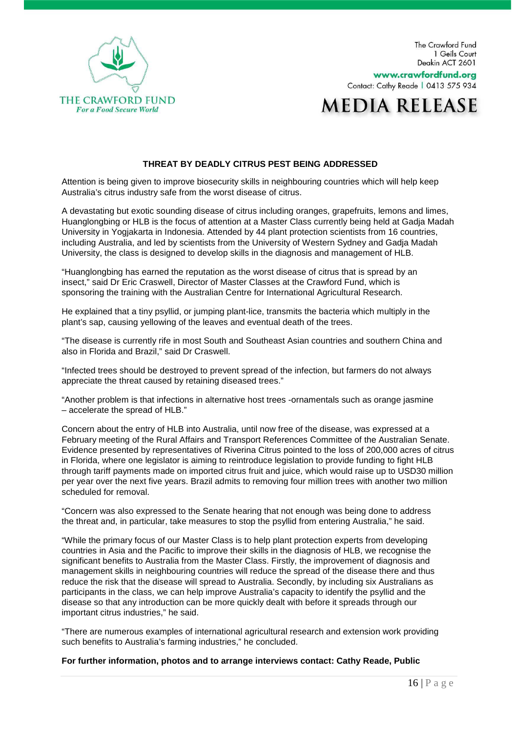

The Crawford Fund 1 Geils Court Deakin ACT 2601

www.crawfordfund.org Contact: Cathy Reade | 0413 575 934

## **MEDIA RELEASE**

#### **THREAT BY DEADLY CITRUS PEST BEING ADDRESSED**

Attention is being given to improve biosecurity skills in neighbouring countries which will help keep Australia's citrus industry safe from the worst disease of citrus.

A devastating but exotic sounding disease of citrus including oranges, grapefruits, lemons and limes, Huanglongbing or HLB is the focus of attention at a Master Class currently being held at Gadja Madah University in Yogjakarta in Indonesia. Attended by 44 plant protection scientists from 16 countries, including Australia, and led by scientists from the University of Western Sydney and Gadja Madah University, the class is designed to develop skills in the diagnosis and management of HLB.

"Huanglongbing has earned the reputation as the worst disease of citrus that is spread by an insect," said Dr Eric Craswell, Director of Master Classes at the Crawford Fund, which is sponsoring the training with the Australian Centre for International Agricultural Research.

He explained that a tiny psyllid, or jumping plant-lice, transmits the bacteria which multiply in the plant's sap, causing yellowing of the leaves and eventual death of the trees.

"The disease is currently rife in most South and Southeast Asian countries and southern China and also in Florida and Brazil," said Dr Craswell.

"Infected trees should be destroyed to prevent spread of the infection, but farmers do not always appreciate the threat caused by retaining diseased trees."

"Another problem is that infections in alternative host trees -ornamentals such as orange jasmine – accelerate the spread of HLB."

Concern about the entry of HLB into Australia, until now free of the disease, was expressed at a February meeting of the Rural Affairs and Transport References Committee of the Australian Senate. Evidence presented by representatives of Riverina Citrus pointed to the loss of 200,000 acres of citrus in Florida, where one legislator is aiming to reintroduce legislation to provide funding to fight HLB through tariff payments made on imported citrus fruit and juice, which would raise up to USD30 million per year over the next five years. Brazil admits to removing four million trees with another two million scheduled for removal.

"Concern was also expressed to the Senate hearing that not enough was being done to address the threat and, in particular, take measures to stop the psyllid from entering Australia," he said.

"While the primary focus of our Master Class is to help plant protection experts from developing countries in Asia and the Pacific to improve their skills in the diagnosis of HLB, we recognise the significant benefits to Australia from the Master Class. Firstly, the improvement of diagnosis and management skills in neighbouring countries will reduce the spread of the disease there and thus reduce the risk that the disease will spread to Australia. Secondly, by including six Australians as participants in the class, we can help improve Australia's capacity to identify the psyllid and the disease so that any introduction can be more quickly dealt with before it spreads through our important citrus industries," he said.

"There are numerous examples of international agricultural research and extension work providing such benefits to Australia's farming industries," he concluded.

#### **For further information, photos and to arrange interviews contact: Cathy Reade, Public**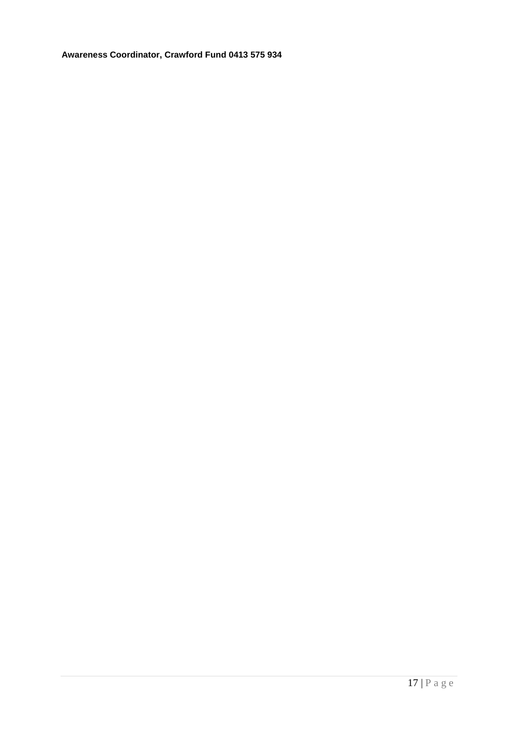**Awareness Coordinator, Crawford Fund 0413 575 934**